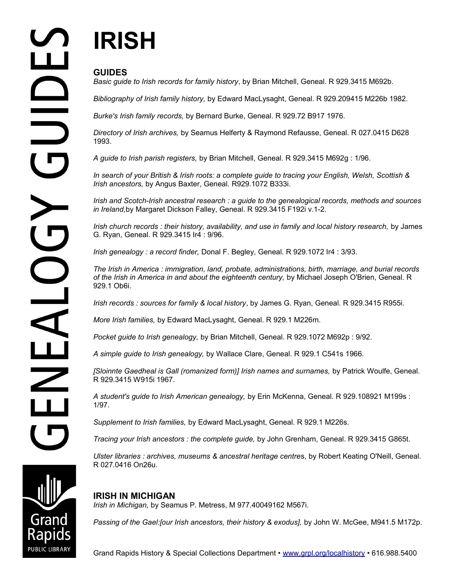# **IRISH**

## **GUIDES**

*Basic guide to Irish records for family history*, by Brian Mitchell, Geneal. R 929.3415 M692b.

*Bibliography of Irish family history,* by Edward MacLysaght, Geneal. R 929.209415 M226b 1982.

*Burke's Irish family records,* by Bernard Burke, Geneal. R 929.72 B917 1976.

*Directory of Irish archives,* by Seamus Helferty & Raymond Refausse, Geneal. R 027.0415 D628 1993.

*A guide to Irish parish registers,* by Brian Mitchell, Geneal. R 929.3415 M692g : 1/96.

*In search of your British & Irish roots: a complete guide to tracing your English, Welsh, Scottish & Irish ancestors,* by Angus Baxter, Geneal. R929.1072 B333i.

*Irish and Scotch-Irish ancestral research : a guide to the genealogical records, methods and sources in Ireland,*by Margaret Dickson Falley, Geneal. R 929.3415 F192i v.1-2.

*Irish church records : their history, availability, and use in family and local history research,* by James G. Ryan, Geneal. R 929.3415 Ir4 : 9/96.

*Irish genealogy : a record finder,* Donal F. Begley, Geneal. R 929.1072 Ir4 : 3/93.

*The Irish in America : immigration, land, probate, administrations, birth, marriage, and burial records of the Irish in America in and about the eighteenth century,* by Michael Joseph O'Brien, Geneal. R 929.1 Ob6i.

*Irish records : sources for family & local history*, by James G. Ryan, Geneal. R 929.3415 R955i.

*More Irish families,* by Edward MacLysaght, Geneal. R 929.1 M226m.

*Pocket guide to Irish genealogy,* by Brian Mitchell, Geneal. R 929.1072 M692p : 9/92.

*A simple guide to Irish genealogy,* by Wallace Clare, Geneal. R 929.1 C541s 1966.

*[Sloinnte Gaedheal is Gall (romanized form)] Irish names and surnames,* by Patrick Woulfe, Geneal. R 929.3415 W915i 1967.

*A student's guide to Irish American genealogy,* by Erin McKenna, Geneal. R 929.108921 M199s : 1/97.

*Supplement to Irish families,* by Edward MacLysaght, Geneal. R 929.1 M226s*.*

*Tracing your Irish ancestors : the complete guide,* by John Grenham, Geneal. R 929.3415 G865t.

*Ulster libraries : archives, museums & ancestral heritage centre*s, by Robert Keating O'Neill, Geneal. R 027.0416 On26u.

### **IRISH IN MICHIGAN**

*Irish in Michigan,* by Seamus P. Metress, M 977.40049162 M567i.

Passing of the Gael: [our Irish ancestors, their history & exodus], by John W. McGee, M941.5 M172p.



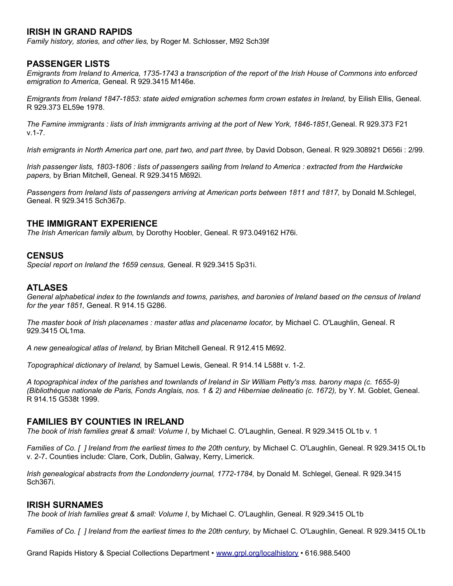#### **IRISH IN GRAND RAPIDS**

*Family history, stories, and other lies,* by Roger M. Schlosser, M92 Sch39f

#### **PASSENGER LISTS**

*Emigrants from Ireland to America, 1735-1743 a transcription of the report of the Irish House of Commons into enforced emigration to America,* Geneal. R 929.3415 M146e.

*Emigrants from Ireland 1847-1853: state aided emigration schemes form crown estates in Ireland, by Eilish Ellis, Geneal.* R 929.373 EL59e 1978.

*The Famine immigrants : lists of Irish immigrants arriving at the port of New York, 1846-1851,*Geneal. R 929.373 F21 v.1-7.

*Irish emigrants in North America part one, part two, and part three,* by David Dobson, Geneal. R 929.308921 D656i : 2/99.

*Irish passenger lists, 1803-1806 : lists of passengers sailing from Ireland to America : extracted from the Hardwicke papers,* by Brian Mitchell, Geneal. R 929.3415 M692i.

Passengers from Ireland lists of passengers arriving at American ports between 1811 and 1817, by Donald M.Schlegel, Geneal. R 929.3415 Sch367p.

#### **THE IMMIGRANT EXPERIENCE**

*The Irish American family album,* by Dorothy Hoobler, Geneal. R 973.049162 H76i.

#### **CENSUS**

*Special report on Ireland the 1659 census,* Geneal. R 929.3415 Sp31i.

#### **ATLASES**

*General alphabetical index to the townlands and towns, parishes, and baronies of Ireland based on the census of Ireland for the year 1851,* Geneal. R 914.15 G286.

*The master book of Irish placenames : master atlas and placename locator*, by Michael C. O'Laughlin, Geneal. R 929.3415 OL1ma.

*A new genealogical atlas of Ireland,* by Brian Mitchell Geneal. R 912.415 M692.

*Topographical dictionary of Ireland,* by Samuel Lewis, Geneal. R 914.14 L588t v. 1-2.

*A topographical index of the parishes and townlands of Ireland in Sir William Petty's mss. barony maps (c. 1655-9) (Bibliothéque nationale de Paris, Fonds Anglais, nos. 1 & 2) and Hiberniae delineatio (c. 1672), by Y. M. Goblet, Geneal.* R 914.15 G538t 1999.

#### **FAMILIES BY COUNTIES IN IRELAND**

*The book of Irish families great & small: Volume I*, by Michael C. O'Laughlin, Geneal. R 929.3415 OL1b v. 1

*Families of Co. [ ] Ireland from the earliest times to the 20th century, by Michael C. O'Laughlin, Geneal. R 929.3415 OL1b* v. 2-7**.** Counties include: Clare, Cork, Dublin, Galway, Kerry, Limerick.

*Irish genealogical abstracts from the Londonderry journal, 1772-1784,* by Donald M. Schlegel, Geneal. R 929.3415 Sch367i.

#### **IRISH SURNAMES**

*The book of Irish families great & small: Volume I*, by Michael C. O'Laughlin, Geneal. R 929.3415 OL1b

*Families of Co. [] Ireland from the earliest times to the 20th century, by Michael C. O'Laughlin, Geneal. R 929.3415 OL1b* 

Grand Rapids History & Special Collections Department • [www.grpl.org/localhistory](http://www.grpl.org/localhistory) • 616.988.5400